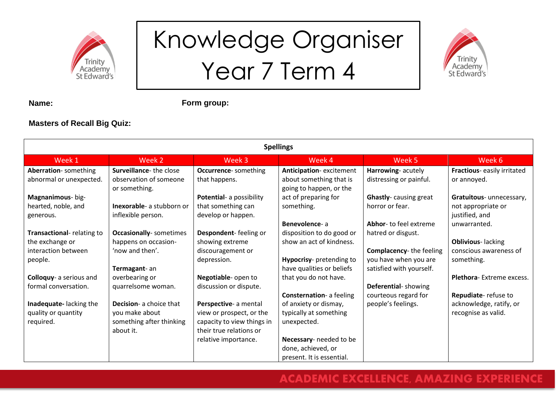

## Knowledge Organiser Year 7 Term 4



**Name:**

**Form group:**

### **Masters of Recall Big Quiz:**

| <b>Spellings</b>                 |                                |                              |                                 |                                |                                 |
|----------------------------------|--------------------------------|------------------------------|---------------------------------|--------------------------------|---------------------------------|
| Week 1                           | Week 2                         | Week 3                       | Week 4                          | Week 5                         | Week 6                          |
| Aberration-something             | Surveillance-the close         | <b>Occurrence-</b> something | Anticipation-excitement         | Harrowing-acutely              | Fractious-easily irritated      |
| abnormal or unexpected.          | observation of someone         | that happens.                | about something that is         | distressing or painful.        | or annoyed.                     |
|                                  | or something.                  |                              | going to happen, or the         |                                |                                 |
| Magnanimous- big-                |                                | Potential- a possibility     | act of preparing for            | <b>Ghastly-</b> causing great  | Gratuitous- unnecessary,        |
| hearted, noble, and              | Inexorable- a stubborn or      | that something can           | something.                      | horror or fear.                | not appropriate or              |
| generous.                        | inflexible person.             | develop or happen.           |                                 |                                | justified, and                  |
|                                  |                                |                              | Benevolence-a                   | Abhor- to feel extreme         | unwarranted.                    |
| <b>Transactional-relating to</b> | <b>Occasionally-</b> sometimes | Despondent-feeling or        | disposition to do good or       | hatred or disgust.             |                                 |
| the exchange or                  | happens on occasion-           | showing extreme              | show an act of kindness.        |                                | <b>Oblivious-lacking</b>        |
| interaction between              | 'now and then'.                | discouragement or            |                                 | <b>Complacency-the feeling</b> | conscious awareness of          |
| people.                          |                                | depression.                  | Hypocrisy- pretending to        | you have when you are          | something.                      |
|                                  | Termagant-an                   |                              | have qualities or beliefs       | satisfied with yourself.       |                                 |
| Colloquy- a serious and          | overbearing or                 | Negotiable- open to          | that you do not have.           |                                | <b>Plethora-Extreme excess.</b> |
| formal conversation.             | quarrelsome woman.             | discussion or dispute.       |                                 | Deferential-showing            |                                 |
|                                  |                                |                              | <b>Consternation-</b> a feeling | courteous regard for           | Repudiate-refuse to             |
| Inadequate-lacking the           | <b>Decision-</b> a choice that | Perspective- a mental        | of anxiety or dismay,           | people's feelings.             | acknowledge, ratify, or         |
| quality or quantity              | you make about                 | view or prospect, or the     | typically at something          |                                | recognise as valid.             |
| required.                        | something after thinking       | capacity to view things in   | unexpected.                     |                                |                                 |
|                                  | about it.                      | their true relations or      |                                 |                                |                                 |
|                                  |                                | relative importance.         | Necessary- needed to be         |                                |                                 |
|                                  |                                |                              | done, achieved, or              |                                |                                 |
|                                  |                                |                              | present. It is essential.       |                                |                                 |

### **ACADEMIC EXCELLENCE, AMAZING EXPERIENCE**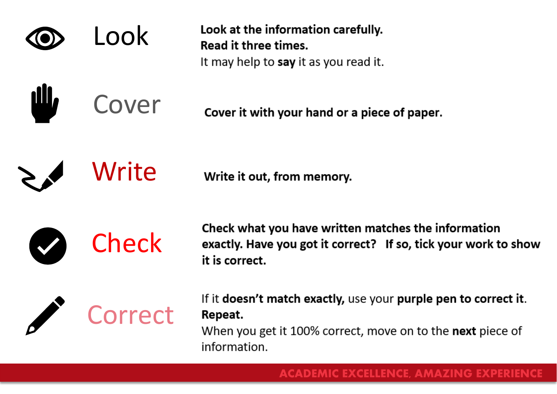

**ill,** 

Look at the information carefully. Read it three times. It may help to say it as you read it.

Cover it with your hand or a piece of paper.

Write

Cover

Write it out, from memory.



Check what you have written matches the information exactly. Have you got it correct? If so, tick your work to show it is correct.



If it doesn't match exactly, use your purple pen to correct it. Repeat.

When you get it 100% correct, move on to the next piece of information.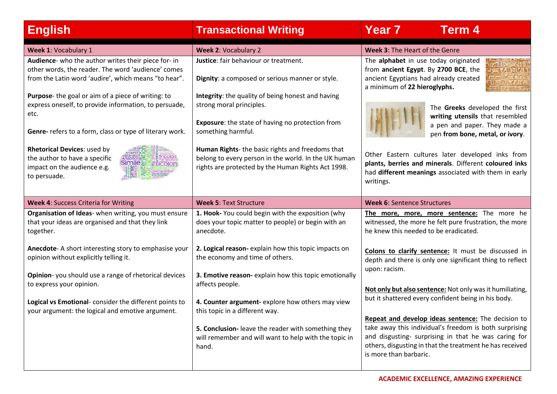| <b>English</b>                                                                                                                                                                                                                                                                                                                                                                                                                                                                                                                                                | <b>Transactional Writing</b>                                                                                                                                                                                                                                                                                                                                                                                                 | <b>Year 7</b><br><b>Term 4</b>                                                                                                                                                                                                                                                                                                                                                                             |
|---------------------------------------------------------------------------------------------------------------------------------------------------------------------------------------------------------------------------------------------------------------------------------------------------------------------------------------------------------------------------------------------------------------------------------------------------------------------------------------------------------------------------------------------------------------|------------------------------------------------------------------------------------------------------------------------------------------------------------------------------------------------------------------------------------------------------------------------------------------------------------------------------------------------------------------------------------------------------------------------------|------------------------------------------------------------------------------------------------------------------------------------------------------------------------------------------------------------------------------------------------------------------------------------------------------------------------------------------------------------------------------------------------------------|
| Week 1: Vocabulary 1                                                                                                                                                                                                                                                                                                                                                                                                                                                                                                                                          | <b>Week 2: Vocabulary 2</b>                                                                                                                                                                                                                                                                                                                                                                                                  | <b>Week 3: The Heart of the Genre</b>                                                                                                                                                                                                                                                                                                                                                                      |
| Audience- who the author writes their piece for- in<br>other words, the reader. The word 'audience' comes<br>from the Latin word 'audire', which means "to hear".<br>Purpose- the goal or aim of a piece of writing: to<br>express oneself, to provide information, to persuade,<br>etc.<br>Genre- refers to a form, class or type of literary work.<br><b>Rhetorical Devices: used by</b><br>iteration <mark></mark><br>haphora (0<br><b>Eliricolor</b><br>the author to have a specific<br><b>Simile <i>blostricolon</i></b><br>impact on the audience e.g. | Justice: fair behaviour or treatment.<br>Dignity: a composed or serious manner or style.<br>Integrity: the quality of being honest and having<br>strong moral principles.<br><b>Exposure:</b> the state of having no protection from<br>something harmful.<br>Human Rights- the basic rights and freedoms that<br>belong to every person in the world. In the UK human<br>rights are protected by the Human Rights Act 1998. | The alphabet in use today originated<br>from ancient Egypt. By 2700 BCE, the<br>ancient Egyptians had already created<br>a minimum of 22 hieroglyphs.<br>The Greeks developed the first<br>writing utensils that resembled<br>a pen and paper. They made a<br>pen from bone, metal, or ivory.<br>Other Eastern cultures later developed inks from<br>plants, berries and minerals. Different coloured inks |
| to persuade.<br><b>Week 4: Success Criteria for Writing</b>                                                                                                                                                                                                                                                                                                                                                                                                                                                                                                   | <b>Week 5: Text Structure</b>                                                                                                                                                                                                                                                                                                                                                                                                | had different meanings associated with them in early<br>writings.<br><b>Week 6: Sentence Structures</b>                                                                                                                                                                                                                                                                                                    |
| Organisation of Ideas- when writing, you must ensure                                                                                                                                                                                                                                                                                                                                                                                                                                                                                                          | 1. Hook- You could begin with the exposition (why                                                                                                                                                                                                                                                                                                                                                                            | The more, more, more sentence: The more he                                                                                                                                                                                                                                                                                                                                                                 |
| that your ideas are organised and that they link<br>together.                                                                                                                                                                                                                                                                                                                                                                                                                                                                                                 | does your topic matter to people) or begin with an<br>anecdote.                                                                                                                                                                                                                                                                                                                                                              | witnessed, the more he felt pure frustration, the more<br>he knew this needed to be eradicated.                                                                                                                                                                                                                                                                                                            |
| Anecdote-A short interesting story to emphasise your<br>opinion without explicitly telling it.                                                                                                                                                                                                                                                                                                                                                                                                                                                                | 2. Logical reason-explain how this topic impacts on<br>the economy and time of others.                                                                                                                                                                                                                                                                                                                                       | Colons to clarify sentence: It must be discussed in<br>depth and there is only one significant thing to reflect<br>upon: racism.                                                                                                                                                                                                                                                                           |
| Opinion-you should use a range of rhetorical devices<br>to express your opinion.                                                                                                                                                                                                                                                                                                                                                                                                                                                                              | 3. Emotive reason-explain how this topic emotionally<br>affects people.                                                                                                                                                                                                                                                                                                                                                      | Not only but also sentence: Not only was it humiliating,                                                                                                                                                                                                                                                                                                                                                   |
| Logical vs Emotional-consider the different points to<br>your argument: the logical and emotive argument.                                                                                                                                                                                                                                                                                                                                                                                                                                                     | 4. Counter argument-explore how others may view<br>this topic in a different way.                                                                                                                                                                                                                                                                                                                                            | but it shattered every confident being in his body.                                                                                                                                                                                                                                                                                                                                                        |
|                                                                                                                                                                                                                                                                                                                                                                                                                                                                                                                                                               | 5. Conclusion-leave the reader with something they<br>will remember and will want to help with the topic in<br>hand.                                                                                                                                                                                                                                                                                                         | Repeat and develop ideas sentence: The decision to<br>take away this individual's freedom is both surprising<br>and disgusting- surprising in that he was caring for<br>others, disgusting in that the treatment he has received<br>is more than barbaric.                                                                                                                                                 |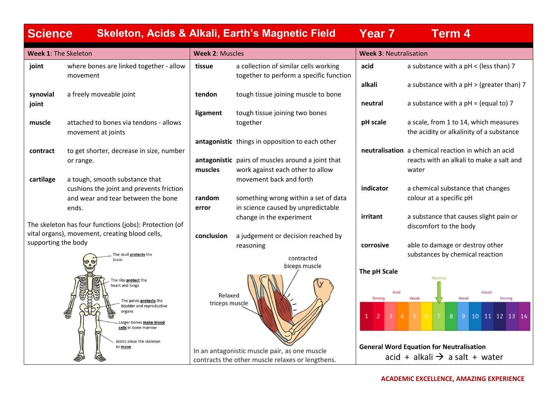| <b>Science</b>       |                                                                                                                                                                                                        |                           | <b>Skeleton, Acids &amp; Alkali, Earth's Magnetic Field</b>                                       | <b>Year 7</b>                                   | <b>Term 4</b>                                                                                        |
|----------------------|--------------------------------------------------------------------------------------------------------------------------------------------------------------------------------------------------------|---------------------------|---------------------------------------------------------------------------------------------------|-------------------------------------------------|------------------------------------------------------------------------------------------------------|
| Week 1: The Skeleton |                                                                                                                                                                                                        | <b>Week 2: Muscles</b>    |                                                                                                   | <b>Week 3: Neutralisation</b>                   |                                                                                                      |
| joint                | where bones are linked together - allow<br>movement                                                                                                                                                    | tissue                    | a collection of similar cells working<br>together to perform a specific function                  | acid                                            | a substance with a $pH <$ (less than) 7                                                              |
| synovial             | a freely moveable joint                                                                                                                                                                                | tendon                    | tough tissue joining muscle to bone                                                               | alkali                                          | a substance with a $pH$ > (greater than) 7                                                           |
| joint                |                                                                                                                                                                                                        |                           |                                                                                                   | neutral                                         | a substance with a $pH = (equal to) 7$                                                               |
| muscle               | attached to bones via tendons - allows<br>movement at joints                                                                                                                                           | ligament                  | tough tissue joining two bones<br>together                                                        | pH scale                                        | a scale, from 1 to 14, which measures<br>the acidity or alkalinity of a substance                    |
| contract             | to get shorter, decrease in size, number                                                                                                                                                               |                           | antagonistic things in opposition to each other                                                   |                                                 | neutralisation a chemical reaction in which an acid                                                  |
|                      | or range.                                                                                                                                                                                              | muscles                   | antagonistic pairs of muscles around a joint that<br>work against each other to allow             |                                                 | reacts with an alkali to make a salt and<br>water                                                    |
| cartilage            | a tough, smooth substance that<br>cushions the joint and prevents friction                                                                                                                             |                           | movement back and forth                                                                           | indicator                                       | a chemical substance that changes                                                                    |
|                      | and wear and tear between the bone<br>ends.                                                                                                                                                            | random<br>error           | something wrong within a set of data<br>in science caused by unpredictable                        |                                                 | colour at a specific pH                                                                              |
|                      | The skeleton has four functions (jobs): Protection (of                                                                                                                                                 |                           | change in the experiment                                                                          | irritant                                        | a substance that causes slight pain or<br>discomfort to the body                                     |
| supporting the body  | vital organs), movement, creating blood cells,                                                                                                                                                         | conclusion                | a judgement or decision reached by<br>reasoning                                                   | corrosive                                       | able to damage or destroy other                                                                      |
|                      | The skull <b>protects</b> the<br>brain                                                                                                                                                                 |                           | contracted<br>biceps muscle                                                                       |                                                 | substances by chemical reaction                                                                      |
|                      | The ribs <b>protect</b> the<br>heart and lungs<br>The pelvis <b>protects</b> the<br>bladder and reproductive<br>organs<br>Larger bones make blood<br>cells in bone marrow<br>Joints allow the skeleton | Relaxed<br>triceps muscle |                                                                                                   | The pH Scale<br>Acid<br>Strong<br>$\frac{1}{2}$ | Neutral<br>Alkali<br>Weak<br>Strong<br>Weak<br>8 <sup>1</sup><br>$5 \t6$<br>-7 -<br>9 10 11 12 13 14 |
|                      | to move                                                                                                                                                                                                |                           | In an antagonistic muscle pair, as one muscle<br>contracts the other muscle relaxes or lengthens. |                                                 | <b>General Word Equation for Neutralisation</b><br>acid + alkali $\rightarrow$ a salt + water        |
|                      |                                                                                                                                                                                                        |                           |                                                                                                   |                                                 |                                                                                                      |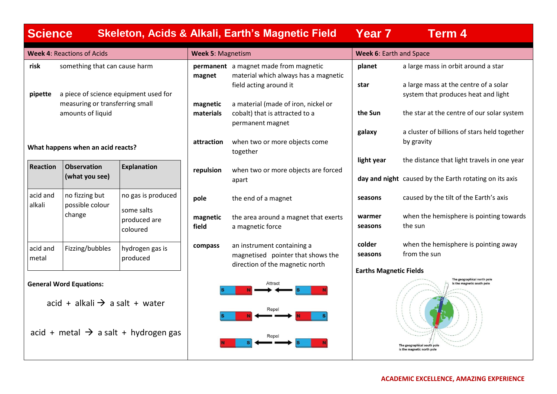| <b>Science</b>     |                                                                              |                                                  |                       | <b>Skeleton, Acids &amp; Alkali, Earth's Magnetic Field</b>                                        | Year 7                         | <b>Term 4</b>                                                                                                          |
|--------------------|------------------------------------------------------------------------------|--------------------------------------------------|-----------------------|----------------------------------------------------------------------------------------------------|--------------------------------|------------------------------------------------------------------------------------------------------------------------|
|                    | <b>Week 4: Reactions of Acids</b>                                            |                                                  | Week 5: Magnetism     |                                                                                                    | <b>Week 6: Earth and Space</b> |                                                                                                                        |
| risk               | something that can cause harm                                                |                                                  | magnet                | permanent a magnet made from magnetic<br>material which always has a magnetic                      | planet                         | a large mass in orbit around a star                                                                                    |
| pipette            |                                                                              | a piece of science equipment used for            |                       | field acting around it                                                                             | star                           | a large mass at the centre of a solar<br>system that produces heat and light                                           |
|                    | measuring or transferring small<br>amounts of liquid                         |                                                  | magnetic<br>materials | a material (made of iron, nickel or<br>cobalt) that is attracted to a<br>permanent magnet          | the Sun                        | the star at the centre of our solar system                                                                             |
|                    | What happens when an acid reacts?                                            |                                                  | attraction            | when two or more objects come<br>together                                                          | galaxy                         | a cluster of billions of stars held together<br>by gravity                                                             |
| <b>Reaction</b>    | <b>Observation</b><br>(what you see)                                         | <b>Explanation</b>                               | repulsion             | when two or more objects are forced<br>apart                                                       | light year                     | the distance that light travels in one year<br>day and night caused by the Earth rotating on its axis                  |
| acid and<br>alkali | no fizzing but<br>possible colour                                            | no gas is produced                               | pole                  | the end of a magnet                                                                                | seasons                        | caused by the tilt of the Earth's axis                                                                                 |
|                    | change                                                                       | some salts<br>produced are<br>coloured           | magnetic<br>field     | the area around a magnet that exerts<br>a magnetic force                                           | warmer<br>seasons              | when the hemisphere is pointing towards<br>the sun                                                                     |
| acid and<br>metal  | Fizzing/bubbles                                                              | hydrogen gas is<br>produced                      | compass               | an instrument containing a<br>magnetised pointer that shows the<br>direction of the magnetic north | colder<br>seasons              | when the hemisphere is pointing away<br>from the sun                                                                   |
|                    | <b>General Word Equations:</b><br>acid + alkali $\rightarrow$ a salt + water | acid + metal $\rightarrow$ a salt + hydrogen gas |                       | Attract<br>Repel<br>Repel                                                                          | <b>Earths Magnetic Fields</b>  | The geographical north pole<br>is the magnetic south pole<br>The geographical south pole<br>is the magnetic north pole |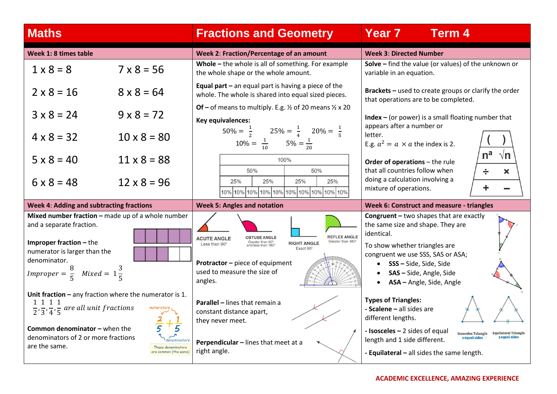| <b>Maths</b>                                                                                                                                                                                                                                       |                                             | <b>Fractions and Geometry</b>                                                                                                                                                                                                             | Year 7<br><b>Term 4</b>                                                                                                                                                                                                                                                                            |
|----------------------------------------------------------------------------------------------------------------------------------------------------------------------------------------------------------------------------------------------------|---------------------------------------------|-------------------------------------------------------------------------------------------------------------------------------------------------------------------------------------------------------------------------------------------|----------------------------------------------------------------------------------------------------------------------------------------------------------------------------------------------------------------------------------------------------------------------------------------------------|
| Week 1: 8 times table                                                                                                                                                                                                                              |                                             | Week 2: Fraction/Percentage of an amount                                                                                                                                                                                                  | <b>Week 3: Directed Number</b>                                                                                                                                                                                                                                                                     |
| $1 \times 8 = 8$                                                                                                                                                                                                                                   | $7 \times 8 = 56$                           | Whole - the whole is all of something. For example<br>the whole shape or the whole amount.                                                                                                                                                | Solve - find the value (or values) of the unknown or<br>variable in an equation.                                                                                                                                                                                                                   |
| $2 \times 8 = 16$                                                                                                                                                                                                                                  | $8 \times 8 = 64$                           | <b>Equal part</b> $-$ an equal part is having a piece of the<br>whole. The whole is shared into equal sized pieces.                                                                                                                       | Brackets - used to create groups or clarify the order<br>that operations are to be completed.                                                                                                                                                                                                      |
| $3 \times 8 = 24$                                                                                                                                                                                                                                  | $9 \times 8 = 72$                           | Of – of means to multiply. E.g. $\frac{1}{2}$ of 20 means $\frac{1}{2}$ x 20<br>Key equivalences:                                                                                                                                         | Index $-$ (or power) is a small floating number that                                                                                                                                                                                                                                               |
| $4 \times 8 = 32$                                                                                                                                                                                                                                  | $10 \times 8 = 80$                          | $50\% = \frac{1}{2}$ $25\% = \frac{1}{4}$ $20\% = \frac{1}{5}$<br>$10\% = \frac{1}{10}$ $5\% = \frac{1}{20}$                                                                                                                              | appears after a number or<br>letter.<br>E.g. $a^2 = a \times a$ the index is 2.                                                                                                                                                                                                                    |
| $5 \times 8 = 40$                                                                                                                                                                                                                                  | $11 \times 8 = 88$                          | 100%<br>50%<br>50%                                                                                                                                                                                                                        | n <sup>a</sup><br>√n<br>Order of operations - the rule<br>that all countries follow when<br>÷<br>$\bm{x}$                                                                                                                                                                                          |
| $6 \times 8 = 48$                                                                                                                                                                                                                                  | $12 \times 8 = 96$                          | 25%<br>25%<br>25%<br>25%<br>10% 10% 10% 10% 10% 10% 10% 10% 10% 10%                                                                                                                                                                       | doing a calculation involving a<br>÷<br>mixture of operations.                                                                                                                                                                                                                                     |
| Week 4: Adding and subtracting fractions                                                                                                                                                                                                           |                                             | <b>Week 5: Angles and notation</b>                                                                                                                                                                                                        | Week 6: Construct and measure - triangles                                                                                                                                                                                                                                                          |
| Mixed number fraction - made up of a whole number<br>and a separate fraction.<br><b>Improper fraction – the</b><br>numerator is larger than the<br>denominator.<br><i>Improper</i> = $\frac{6}{5}$ <i>Mixed</i> = $1\frac{6}{5}$                   |                                             | <b>REFLEX ANGLE</b><br><b>OBTUSE ANGLE</b><br><b>ACUTE ANGLE</b><br>Greater than 90°<br>Greater than 180<br><b>RIGHT ANGLE</b><br>Less than 90°<br>Exact 90°<br>Protractor - piece of equipment<br>used to measure the size of<br>angles. | <b>Congruent</b> - two shapes that are exactly<br>the same size and shape. They are<br>identical.<br>To show whether triangles are<br>congruent we use SSS, SAS or ASA;<br><b>SSS</b> – Side, Side, Side<br>SAS - Side, Angle, Side<br>ASA - Angle, Side, Angle                                    |
| Unit fraction $-$ any fraction where the numerator is 1.<br>1 1 1 1<br>$\frac{1}{2}, \frac{1}{3}, \frac{1}{4}, \frac{1}{5}$ are all unit fractions<br><b>Common denominator - when the</b><br>denominators of 2 or more fractions<br>are the same. | These denominators<br>are common (the same) | <b>Parallel - lines that remain a</b><br>constant distance apart,<br>they never meet.<br>Perpendicular - lines that meet at a<br>right angle.                                                                                             | <b>Types of Triangles:</b><br>- Scalene - all sides are<br>different lengths.<br>- Isosceles - 2 sides of equal<br><b>Equilateral Triangle</b><br><b>Isosceles Triangle</b><br><b>a</b> equal sides<br>2 equal sides<br>length and 1 side different.<br>- Equilateral - all sides the same length. |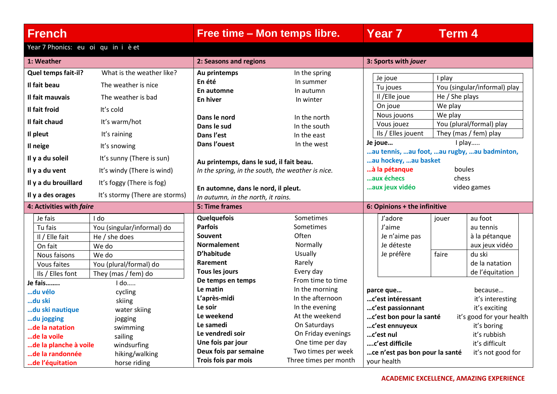**French Free time – Mon temps libre. Year 7 Term 4**

Year 7 Phonics: eu oi qu in i è et

| 1: Weather                                          |                            | 2: Seasons and regions                            |                       | 3: Sports with jouer                                                   |                |                              |
|-----------------------------------------------------|----------------------------|---------------------------------------------------|-----------------------|------------------------------------------------------------------------|----------------|------------------------------|
| Quel temps fait-il?                                 | What is the weather like?  | Au printemps                                      | In the spring         |                                                                        |                |                              |
| Il fait beau                                        | The weather is nice        | En été                                            | In summer             | Je joue                                                                | I play         |                              |
|                                                     |                            | En automne                                        | In autumn             | Tu joues                                                               |                | You (singular/informal) play |
| Il fait mauvais                                     | The weather is bad         | En hiver                                          | In winter             | Il /Elle joue                                                          | He / She plays |                              |
| Il fait froid                                       | It's cold                  |                                                   |                       | On joue                                                                | We play        |                              |
| Il fait chaud                                       | It's warm/hot              | Dans le nord                                      | In the north          | Nous jouons                                                            | We play        |                              |
|                                                     |                            | Dans le sud                                       | In the south          | Vous jouez                                                             |                | You (plural/formal) play     |
| Il pleut                                            | It's raining               | Dans l'est                                        | In the east           | Ils / Elles jouent                                                     |                | They (mas / fem) play        |
| Il neige                                            | It's snowing               | Dans l'ouest                                      | In the west           | Je joue                                                                |                | I play                       |
| Il y a du soleil                                    | It's sunny (There is sun)  | Au printemps, dans le sud, il fait beau.          |                       | au tennis,  au foot,  au rugby,  au badminton,<br>au hockey, au basket |                |                              |
| Il y a du vent                                      | It's windy (There is wind) | In the spring, in the south, the weather is nice. |                       | à la pétanque                                                          |                | boules                       |
| Il y a du brouillard                                | It's foggy (There is fog)  |                                                   |                       | aux échecs                                                             | chess          |                              |
|                                                     |                            | En automne, dans le nord, il pleut.               |                       | aux jeux vidéo                                                         |                | video games                  |
| It's stormy (There are storms)<br>Il y a des orages |                            | In autumn, in the north, it rains.                |                       |                                                                        |                |                              |
| 4: Activities with faire                            |                            | 5: Time frames                                    |                       | 6: Opinions + the infinitive                                           |                |                              |
| Je fais                                             | I do                       | Quelquefois                                       | Sometimes             | J'adore                                                                | jouer          | au foot                      |
| Tu fais                                             | You (singular/informal) do | <b>Parfois</b>                                    | Sometimes             | J'aime                                                                 |                | au tennis                    |
| Il / Elle fait                                      | He / she does              | Souvent                                           | Often                 | Je n'aime pas                                                          |                | à la pétanque                |
| On fait                                             | We do                      | <b>Normalement</b>                                | Normally              | Je déteste                                                             |                | aux jeux vidéo               |
| Nous faisons                                        | We do                      | D'habitude                                        | Usually               | Je préfère                                                             | faire          | du ski                       |
| Vous faites                                         | You (plural/formal) do     | Rarement                                          | Rarely                |                                                                        |                | de la natation               |
| Ils / Elles font                                    | They (mas / fem) do        | Tous les jours                                    | Every day             |                                                                        |                | de l'équitation              |
| Je fais                                             | I do                       | De temps en temps                                 | From time to time     |                                                                        |                |                              |
| du vélo                                             | cycling                    | Le matin                                          | In the morning        | parce que                                                              |                | because                      |
| du ski                                              | skiing                     | L'après-midi                                      | In the afternoon      | c'est intéressant                                                      |                | it's interesting             |
| du ski nautique                                     | water skiing               | Le soir                                           | In the evening        | c'est passionnant                                                      |                | it's exciting                |
| du jogging                                          | jogging                    | Le weekend                                        | At the weekend        | c'est bon pour la santé                                                |                | it's good for your health    |
| de la natation                                      | swimming                   | Le samedi                                         | On Saturdays          | c'est ennuyeux                                                         |                | it's boring                  |
| de la voile                                         | sailing                    | Le vendredi soir                                  | On Friday evenings    | c'est nul                                                              |                | it's rubbish                 |
| de la planche à voile                               | windsurfing                | Une fois par jour                                 | One time per day      | c'est difficile                                                        |                | it's difficult               |
| de la randonnée                                     | hiking/walking             | Deux fois par semaine                             | Two times per week    | ce n'est pas bon pour la santé                                         |                | it's not good for            |
| de l'équitation                                     | horse riding               | Trois fois par mois                               | Three times per month | your health                                                            |                |                              |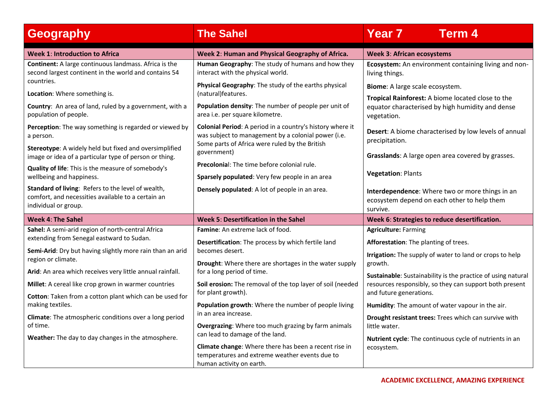| <b>Geography</b>                                                                                                                 | <b>The Sahel</b>                                                                                                                                                   | <b>Year 7</b><br><b>Term 4</b>                                                                                       |
|----------------------------------------------------------------------------------------------------------------------------------|--------------------------------------------------------------------------------------------------------------------------------------------------------------------|----------------------------------------------------------------------------------------------------------------------|
| <b>Week 1: Introduction to Africa</b>                                                                                            | Week 2: Human and Physical Geography of Africa.                                                                                                                    | <b>Week 3: African ecosystems</b>                                                                                    |
| <b>Continent:</b> A large continuous landmass. Africa is the<br>second largest continent in the world and contains 54            | Human Geography: The study of humans and how they<br>interact with the physical world.                                                                             | Ecosystem: An environment containing living and non-<br>living things.                                               |
| countries.                                                                                                                       | Physical Geography: The study of the earths physical                                                                                                               | Biome: A large scale ecosystem.                                                                                      |
| Location: Where something is.<br>Country: An area of land, ruled by a government, with a<br>population of people.                | (natural)features.<br>Population density: The number of people per unit of<br>area i.e. per square kilometre.                                                      | Tropical Rainforest: A biome located close to the<br>equator characterised by high humidity and dense<br>vegetation. |
| Perception: The way something is regarded or viewed by<br>a person.                                                              | Colonial Period: A period in a country's history where it<br>was subject to management by a colonial power (i.e.<br>Some parts of Africa were ruled by the British | Desert: A biome characterised by low levels of annual<br>precipitation.                                              |
| Stereotype: A widely held but fixed and oversimplified<br>image or idea of a particular type of person or thing.                 | government)                                                                                                                                                        | Grasslands: A large open area covered by grasses.                                                                    |
| Quality of life: This is the measure of somebody's<br>wellbeing and happiness.                                                   | <b>Precolonial:</b> The time before colonial rule.<br>Sparsely populated: Very few people in an area                                                               | Vegetation: Plants                                                                                                   |
| Standard of living: Refers to the level of wealth,<br>comfort, and necessities available to a certain an<br>individual or group. | Densely populated: A lot of people in an area.                                                                                                                     | Interdependence: Where two or more things in an<br>ecosystem depend on each other to help them<br>survive.           |
| <b>Week 4: The Sahel</b>                                                                                                         | <b>Week 5: Desertification in the Sahel</b>                                                                                                                        | Week 6: Strategies to reduce desertification.                                                                        |
| Sahel: A semi-arid region of north-central Africa                                                                                | Famine: An extreme lack of food.                                                                                                                                   | <b>Agriculture: Farming</b>                                                                                          |
| extending from Senegal eastward to Sudan.                                                                                        | Desertification: The process by which fertile land                                                                                                                 | Afforestation: The planting of trees.                                                                                |
| Semi-Arid: Dry but having slightly more rain than an arid<br>region or climate.                                                  | becomes desert.<br>Drought: Where there are shortages in the water supply                                                                                          | Irrigation: The supply of water to land or crops to help<br>growth.                                                  |
| Arid: An area which receives very little annual rainfall.                                                                        | for a long period of time.                                                                                                                                         | Sustainable: Sustainability is the practice of using natural                                                         |
| Millet: A cereal like crop grown in warmer countries                                                                             | Soil erosion: The removal of the top layer of soil (needed                                                                                                         | resources responsibly, so they can support both present                                                              |
| Cotton: Taken from a cotton plant which can be used for                                                                          | for plant growth).                                                                                                                                                 | and future generations.                                                                                              |
| making textiles.                                                                                                                 | Population growth: Where the number of people living<br>in an area increase.                                                                                       | Humidity: The amount of water vapour in the air.                                                                     |
| Climate: The atmospheric conditions over a long period<br>of time.                                                               | <b>Overgrazing:</b> Where too much grazing by farm animals                                                                                                         | Drought resistant trees: Trees which can survive with<br>little water.                                               |
| Weather: The day to day changes in the atmosphere.                                                                               | can lead to damage of the land.                                                                                                                                    | Nutrient cycle: The continuous cycle of nutrients in an                                                              |
|                                                                                                                                  | Climate change: Where there has been a recent rise in<br>temperatures and extreme weather events due to<br>human activity on earth.                                | ecosystem.                                                                                                           |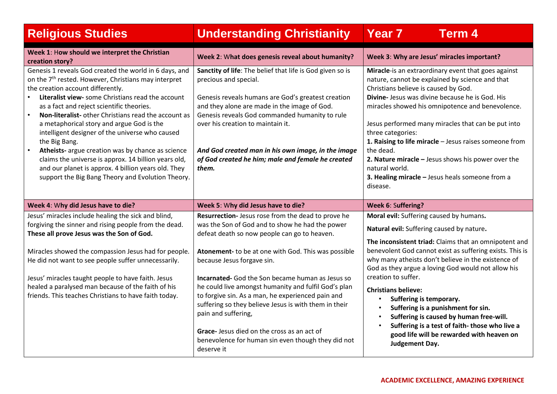| <b>Religious Studies</b>                                                                                                                                                                                                                                                                                                                                                                                                                                                                                                                                                                                                                                                                | <b>Understanding Christianity</b>                                                                                                                                                                                                                                                                                                                                                                                                                                                                                                                                                                                     | <b>Year 7</b><br><b>Term 4</b>                                                                                                                                                                                                                                                                                                                                                                                                                                                                                                                                                                                       |
|-----------------------------------------------------------------------------------------------------------------------------------------------------------------------------------------------------------------------------------------------------------------------------------------------------------------------------------------------------------------------------------------------------------------------------------------------------------------------------------------------------------------------------------------------------------------------------------------------------------------------------------------------------------------------------------------|-----------------------------------------------------------------------------------------------------------------------------------------------------------------------------------------------------------------------------------------------------------------------------------------------------------------------------------------------------------------------------------------------------------------------------------------------------------------------------------------------------------------------------------------------------------------------------------------------------------------------|----------------------------------------------------------------------------------------------------------------------------------------------------------------------------------------------------------------------------------------------------------------------------------------------------------------------------------------------------------------------------------------------------------------------------------------------------------------------------------------------------------------------------------------------------------------------------------------------------------------------|
| Week 1: How should we interpret the Christian<br>creation story?                                                                                                                                                                                                                                                                                                                                                                                                                                                                                                                                                                                                                        | Week 2: What does genesis reveal about humanity?                                                                                                                                                                                                                                                                                                                                                                                                                                                                                                                                                                      | Week 3: Why are Jesus' miracles important?                                                                                                                                                                                                                                                                                                                                                                                                                                                                                                                                                                           |
| Genesis 1 reveals God created the world in 6 days, and<br>on the 7 <sup>th</sup> rested. However, Christians may interpret<br>the creation account differently.<br>Literalist view- some Christians read the account<br>as a fact and reject scientific theories.<br><b>Non-literalist-</b> other Christians read the account as<br>$\bullet$<br>a metaphorical story and argue God is the<br>intelligent designer of the universe who caused<br>the Big Bang.<br>Atheists- argue creation was by chance as science<br>claims the universe is approx. 14 billion years old,<br>and our planet is approx. 4 billion years old. They<br>support the Big Bang Theory and Evolution Theory. | Sanctity of life: The belief that life is God given so is<br>precious and special.<br>Genesis reveals humans are God's greatest creation<br>and they alone are made in the image of God.<br>Genesis reveals God commanded humanity to rule<br>over his creation to maintain it.<br>And God created man in his own image, in the image<br>of God created he him; male and female he created<br>them.                                                                                                                                                                                                                   | Miracle-is an extraordinary event that goes against<br>nature, cannot be explained by science and that<br>Christians believe is caused by God.<br>Divine- Jesus was divine because he is God. His<br>miracles showed his omnipotence and benevolence.<br>Jesus performed many miracles that can be put into<br>three categories:<br>1. Raising to life miracle - Jesus raises someone from<br>the dead.<br>2. Nature miracle $-$ Jesus shows his power over the<br>natural world.<br>3. Healing miracle - Jesus heals someone from a<br>disease.                                                                     |
| Week 4: Why did Jesus have to die?                                                                                                                                                                                                                                                                                                                                                                                                                                                                                                                                                                                                                                                      | Week 5: Why did Jesus have to die?                                                                                                                                                                                                                                                                                                                                                                                                                                                                                                                                                                                    | Week 6: Suffering?                                                                                                                                                                                                                                                                                                                                                                                                                                                                                                                                                                                                   |
| Jesus' miracles include healing the sick and blind,<br>forgiving the sinner and rising people from the dead.<br>These all prove Jesus was the Son of God.<br>Miracles showed the compassion Jesus had for people.<br>He did not want to see people suffer unnecessarily.<br>Jesus' miracles taught people to have faith. Jesus<br>healed a paralysed man because of the faith of his<br>friends. This teaches Christians to have faith today.                                                                                                                                                                                                                                           | Resurrection- Jesus rose from the dead to prove he<br>was the Son of God and to show he had the power<br>defeat death so now people can go to heaven.<br>Atonement- to be at one with God. This was possible<br>because Jesus forgave sin.<br><b>Incarnated-</b> God the Son became human as Jesus so<br>he could live amongst humanity and fulfil God's plan<br>to forgive sin. As a man, he experienced pain and<br>suffering so they believe Jesus is with them in their<br>pain and suffering,<br>Grace- Jesus died on the cross as an act of<br>benevolence for human sin even though they did not<br>deserve it | Moral evil: Suffering caused by humans.<br>Natural evil: Suffering caused by nature.<br>The inconsistent triad: Claims that an omnipotent and<br>benevolent God cannot exist as suffering exists. This is<br>why many atheists don't believe in the existence of<br>God as they argue a loving God would not allow his<br>creation to suffer.<br><b>Christians believe:</b><br>Suffering is temporary.<br>$\bullet$<br>Suffering is a punishment for sin.<br>Suffering is caused by human free-will.<br>Suffering is a test of faith-those who live a<br>good life will be rewarded with heaven on<br>Judgement Day. |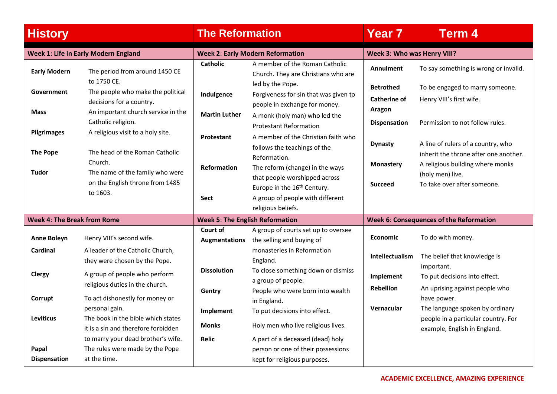| <b>History</b>                     |                                                                                               | <b>The Reformation</b>                 |                                                                                                   | <b>Year 7</b>                                     | <b>Term 4</b>                                                               |  |
|------------------------------------|-----------------------------------------------------------------------------------------------|----------------------------------------|---------------------------------------------------------------------------------------------------|---------------------------------------------------|-----------------------------------------------------------------------------|--|
|                                    | <b>Week 1: Life in Early Modern England</b>                                                   |                                        | <b>Week 2: Early Modern Reformation</b>                                                           |                                                   | <b>Week 3: Who was Henry VIII?</b>                                          |  |
| <b>Early Modern</b>                | The period from around 1450 CE                                                                | <b>Catholic</b>                        | A member of the Roman Catholic<br>Church. They are Christians who are                             | Annulment                                         | To say something is wrong or invalid.                                       |  |
| Government                         | to 1750 CE.<br>The people who make the political<br>decisions for a country.                  | Indulgence                             | led by the Pope.<br>Forgiveness for sin that was given to<br>people in exchange for money.        | <b>Betrothed</b><br><b>Catherine of</b><br>Aragon | To be engaged to marry someone.<br>Henry VIII's first wife.                 |  |
| <b>Mass</b><br>Pilgrimages         | An important church service in the<br>Catholic religion.<br>A religious visit to a holy site. | <b>Martin Luther</b>                   | A monk (holy man) who led the<br><b>Protestant Reformation</b>                                    | <b>Dispensation</b>                               | Permission to not follow rules.                                             |  |
| <b>The Pope</b>                    | The head of the Roman Catholic                                                                | Protestant                             | A member of the Christian faith who<br>follows the teachings of the                               | <b>Dynasty</b>                                    | A line of rulers of a country, who<br>inherit the throne after one another. |  |
| <b>Tudor</b>                       | Church.<br>The name of the family who were                                                    | <b>Reformation</b>                     | Reformation.<br>The reform (change) in the ways<br>that people worshipped across                  | <b>Monastery</b>                                  | A religious building where monks<br>(holy men) live.                        |  |
|                                    | on the English throne from 1485<br>to 1603.                                                   | <b>Sect</b>                            | Europe in the 16 <sup>th</sup> Century.<br>A group of people with different<br>religious beliefs. | <b>Succeed</b>                                    | To take over after someone.                                                 |  |
| <b>Week 4: The Break from Rome</b> |                                                                                               | <b>Week 5: The English Reformation</b> |                                                                                                   |                                                   | <b>Week 6: Consequences of the Reformation</b>                              |  |
| <b>Anne Boleyn</b>                 | Henry VIII's second wife.                                                                     | Court of<br>Augmentations              | A group of courts set up to oversee<br>the selling and buying of                                  | <b>Economic</b>                                   | To do with money.                                                           |  |
| <b>Cardinal</b>                    | A leader of the Catholic Church,<br>they were chosen by the Pope.                             |                                        | monasteries in Reformation<br>England.                                                            | Intellectualism                                   | The belief that knowledge is<br>important.                                  |  |
| Clergy                             | A group of people who perform<br>religious duties in the church.                              | <b>Dissolution</b>                     | To close something down or dismiss<br>a group of people.<br>People who were born into wealth      | Implement<br><b>Rebellion</b>                     | To put decisions into effect.<br>An uprising against people who             |  |
| Corrupt                            | To act dishonestly for money or<br>personal gain.                                             | Gentry<br>Implement                    | in England.<br>To put decisions into effect.                                                      | Vernacular                                        | have power.<br>The language spoken by ordinary                              |  |
| <b>Leviticus</b>                   | The book in the bible which states<br>it is a sin and therefore forbidden                     | <b>Monks</b>                           | Holy men who live religious lives.                                                                |                                                   | people in a particular country. For<br>example, English in England.         |  |
| Papal                              | to marry your dead brother's wife.<br>The rules were made by the Pope                         | <b>Relic</b>                           | A part of a deceased (dead) holy<br>person or one of their possessions                            |                                                   |                                                                             |  |
| <b>Dispensation</b>                | at the time.                                                                                  |                                        | kept for religious purposes.                                                                      |                                                   |                                                                             |  |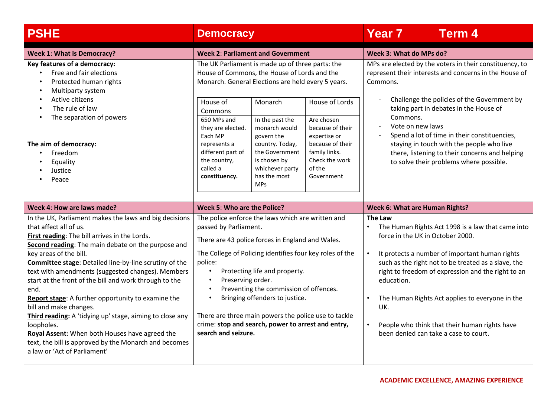| <b>PSHE</b>                                                                                                                                                                                                                                                                                                                                                                                                                                                                                                                                                                                                                                                                                             | <b>Democracy</b>                                                                                                                                                                                                                                                                                                                                                                                                                                                             | <b>Year 7</b><br><b>Term 4</b>                                                                                                                                                                                                                                                                                                                                                                                                           |
|---------------------------------------------------------------------------------------------------------------------------------------------------------------------------------------------------------------------------------------------------------------------------------------------------------------------------------------------------------------------------------------------------------------------------------------------------------------------------------------------------------------------------------------------------------------------------------------------------------------------------------------------------------------------------------------------------------|------------------------------------------------------------------------------------------------------------------------------------------------------------------------------------------------------------------------------------------------------------------------------------------------------------------------------------------------------------------------------------------------------------------------------------------------------------------------------|------------------------------------------------------------------------------------------------------------------------------------------------------------------------------------------------------------------------------------------------------------------------------------------------------------------------------------------------------------------------------------------------------------------------------------------|
| <b>Week 1: What is Democracy?</b>                                                                                                                                                                                                                                                                                                                                                                                                                                                                                                                                                                                                                                                                       | <b>Week 2: Parliament and Government</b>                                                                                                                                                                                                                                                                                                                                                                                                                                     | Week 3: What do MPs do?                                                                                                                                                                                                                                                                                                                                                                                                                  |
| Key features of a democracy:<br>Free and fair elections<br>Protected human rights<br>Multiparty system                                                                                                                                                                                                                                                                                                                                                                                                                                                                                                                                                                                                  | The UK Parliament is made up of three parts: the<br>House of Commons, the House of Lords and the<br>Monarch. General Elections are held every 5 years.                                                                                                                                                                                                                                                                                                                       | MPs are elected by the voters in their constituency, to<br>represent their interests and concerns in the House of<br>Commons.                                                                                                                                                                                                                                                                                                            |
| Active citizens<br>The rule of law<br>The separation of powers                                                                                                                                                                                                                                                                                                                                                                                                                                                                                                                                                                                                                                          | House of<br>House of Lords<br>Monarch<br>Commons<br>650 MPs and<br>In the past the<br>Are chosen<br>monarch would<br>because of their<br>they are elected.                                                                                                                                                                                                                                                                                                                   | Challenge the policies of the Government by<br>taking part in debates in the House of<br>Commons.<br>Vote on new laws<br>Spend a lot of time in their constituencies,                                                                                                                                                                                                                                                                    |
| The aim of democracy:<br>Freedom<br>$\bullet$<br>Equality<br>Justice<br>Peace                                                                                                                                                                                                                                                                                                                                                                                                                                                                                                                                                                                                                           | Each MP<br>govern the<br>expertise or<br>because of their<br>country. Today,<br>represents a<br>different part of<br>the Government<br>family links.<br>Check the work<br>the country,<br>is chosen by<br>of the<br>called a<br>whichever party<br>has the most<br>constituency.<br>Government<br><b>MPs</b>                                                                                                                                                                 | staying in touch with the people who live<br>there, listening to their concerns and helping<br>to solve their problems where possible.                                                                                                                                                                                                                                                                                                   |
| Week 4: How are laws made?                                                                                                                                                                                                                                                                                                                                                                                                                                                                                                                                                                                                                                                                              | Week 5: Who are the Police?                                                                                                                                                                                                                                                                                                                                                                                                                                                  | <b>Week 6: What are Human Rights?</b>                                                                                                                                                                                                                                                                                                                                                                                                    |
| In the UK, Parliament makes the laws and big decisions<br>that affect all of us.<br>First reading: The bill arrives in the Lords.<br>Second reading: The main debate on the purpose and<br>key areas of the bill.<br>Committee stage: Detailed line-by-line scrutiny of the<br>text with amendments (suggested changes). Members<br>start at the front of the bill and work through to the<br>end.<br>Report stage: A further opportunity to examine the<br>bill and make changes.<br>Third reading: A 'tidying up' stage, aiming to close any<br>loopholes.<br>Royal Assent: When both Houses have agreed the<br>text, the bill is approved by the Monarch and becomes<br>a law or 'Act of Parliament' | The police enforce the laws which are written and<br>passed by Parliament.<br>There are 43 police forces in England and Wales.<br>The College of Policing identifies four key roles of the<br>police:<br>Protecting life and property.<br>Preserving order.<br>Preventing the commission of offences.<br>Bringing offenders to justice.<br>There are three main powers the police use to tackle<br>crime: stop and search, power to arrest and entry,<br>search and seizure. | <b>The Law</b><br>The Human Rights Act 1998 is a law that came into<br>force in the UK in October 2000.<br>It protects a number of important human rights<br>such as the right not to be treated as a slave, the<br>right to freedom of expression and the right to an<br>education.<br>The Human Rights Act applies to everyone in the<br>UK.<br>People who think that their human rights have<br>been denied can take a case to court. |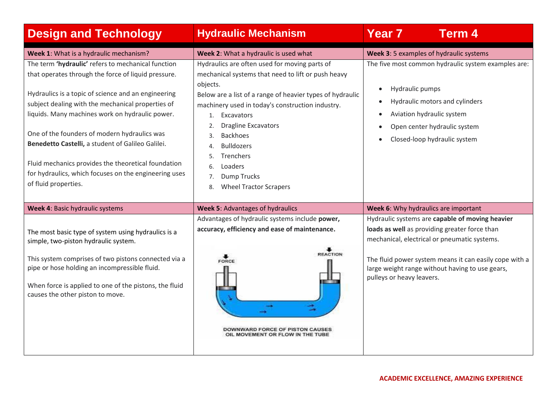| <b>Design and Technology</b>                                                                                                                                                                                                                                                                                                                                                                                                                                                                                          | <b>Hydraulic Mechanism</b>                                                                                                                                                                                                                                                                                                                                                                                                                              | <b>Year 7</b><br><b>Term 4</b>                                                                                                                                                                                                                                                             |
|-----------------------------------------------------------------------------------------------------------------------------------------------------------------------------------------------------------------------------------------------------------------------------------------------------------------------------------------------------------------------------------------------------------------------------------------------------------------------------------------------------------------------|---------------------------------------------------------------------------------------------------------------------------------------------------------------------------------------------------------------------------------------------------------------------------------------------------------------------------------------------------------------------------------------------------------------------------------------------------------|--------------------------------------------------------------------------------------------------------------------------------------------------------------------------------------------------------------------------------------------------------------------------------------------|
| Week 1: What is a hydraulic mechanism?                                                                                                                                                                                                                                                                                                                                                                                                                                                                                | Week 2: What a hydraulic is used what                                                                                                                                                                                                                                                                                                                                                                                                                   | Week 3: 5 examples of hydraulic systems                                                                                                                                                                                                                                                    |
| The term 'hydraulic' refers to mechanical function<br>that operates through the force of liquid pressure.<br>Hydraulics is a topic of science and an engineering<br>subject dealing with the mechanical properties of<br>liquids. Many machines work on hydraulic power.<br>One of the founders of modern hydraulics was<br>Benedetto Castelli, a student of Galileo Galilei.<br>Fluid mechanics provides the theoretical foundation<br>for hydraulics, which focuses on the engineering uses<br>of fluid properties. | Hydraulics are often used for moving parts of<br>mechanical systems that need to lift or push heavy<br>objects.<br>Below are a list of a range of heavier types of hydraulic<br>machinery used in today's construction industry.<br>Excavators<br>1.<br><b>Dragline Excavators</b><br>2.<br><b>Backhoes</b><br>$\mathbf{3}$<br><b>Bulldozers</b><br>Trenchers<br>5.<br>Loaders<br>6.<br><b>Dump Trucks</b><br>7.<br><b>Wheel Tractor Scrapers</b><br>8. | The five most common hydraulic system examples are:<br>Hydraulic pumps<br>$\bullet$<br>Hydraulic motors and cylinders<br>Aviation hydraulic system<br>Open center hydraulic system<br>Closed-loop hydraulic system                                                                         |
| Week 4: Basic hydraulic systems                                                                                                                                                                                                                                                                                                                                                                                                                                                                                       | <b>Week 5: Advantages of hydraulics</b>                                                                                                                                                                                                                                                                                                                                                                                                                 | Week 6: Why hydraulics are important                                                                                                                                                                                                                                                       |
| The most basic type of system using hydraulics is a<br>simple, two-piston hydraulic system.<br>This system comprises of two pistons connected via a<br>pipe or hose holding an incompressible fluid.<br>When force is applied to one of the pistons, the fluid<br>causes the other piston to move.                                                                                                                                                                                                                    | Advantages of hydraulic systems include power,<br>accuracy, efficiency and ease of maintenance.<br><b>REACTION</b><br>FORCE<br>DOWNWARD FORCE OF PISTON CAUSES<br>OIL MOVEMENT OR FLOW IN THE TUBE                                                                                                                                                                                                                                                      | Hydraulic systems are capable of moving heavier<br>loads as well as providing greater force than<br>mechanical, electrical or pneumatic systems.<br>The fluid power system means it can easily cope with a<br>large weight range without having to use gears,<br>pulleys or heavy leavers. |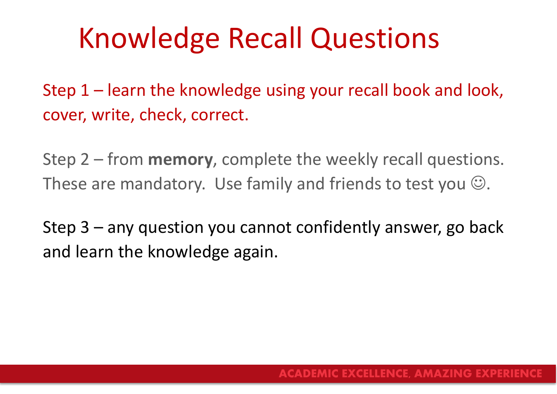# Knowledge Recall Questions

Step 1 – learn the knowledge using your recall book and look, cover, write, check, correct.

Step 2 – from **memory**, complete the weekly recall questions. These are mandatory. Use family and friends to test you  $\odot$ .

Step 3 – any question you cannot confidently answer, go back and learn the knowledge again.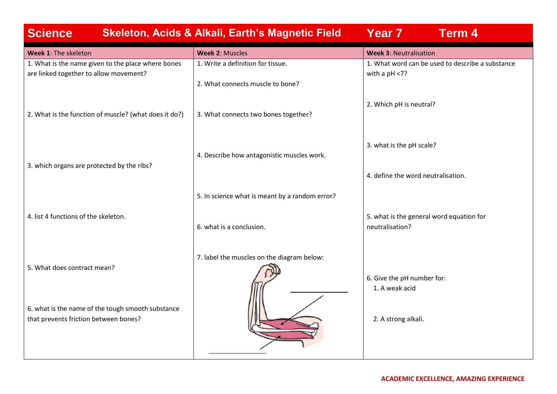| <b>Science</b>                                                                               | <b>Skeleton, Acids &amp; Alkali, Earth's Magnetic Field</b>              | Year 7<br><b>Term 4</b>                                               |
|----------------------------------------------------------------------------------------------|--------------------------------------------------------------------------|-----------------------------------------------------------------------|
| Week 1: The skeleton                                                                         | <b>Week 2: Muscles</b>                                                   | <b>Week 3: Neutralisation</b>                                         |
| 1. What is the name given to the place where bones<br>are linked together to allow movement? | 1. Write a definition for tissue.                                        | 1. What word can be used to describe a substance<br>with a $pH < 7$ ? |
| 2. What is the function of muscle? (what does it do?)                                        | 2. What connects muscle to bone?<br>3. What connects two bones together? | 2. Which pH is neutral?                                               |
| 3. which organs are protected by the ribs?                                                   | 4. Describe how antagonistic muscles work.                               | 3. what is the pH scale?                                              |
|                                                                                              | 5. In science what is meant by a random error?                           | 4. define the word neutralisation.                                    |
| 4. list 4 functions of the skeleton.                                                         | 6. what is a conclusion.                                                 | 5. what is the general word equation for<br>neutralisation?           |
| 5. What does contract mean?                                                                  | 7. label the muscles on the diagram below:                               | 6. Give the pH number for:<br>1. A weak acid                          |
| 6. what is the name of the tough smooth substance<br>that prevents friction between bones?   |                                                                          | 2. A strong alkali.                                                   |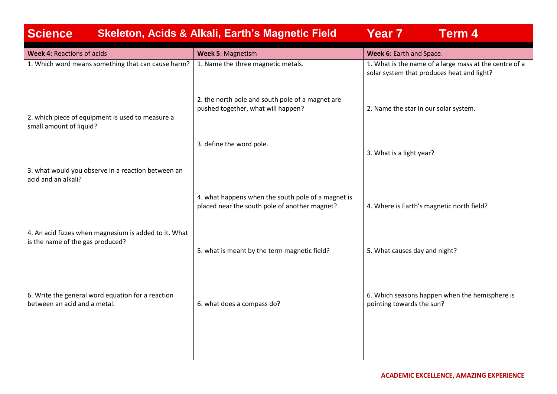| <b>Science</b><br><b>Skeleton, Acids &amp; Alkali, Earth's Magnetic Field</b>             | Year 7<br><b>Term 4</b>                                                                             |                                                                                                      |  |  |
|-------------------------------------------------------------------------------------------|-----------------------------------------------------------------------------------------------------|------------------------------------------------------------------------------------------------------|--|--|
| <b>Week 4: Reactions of acids</b>                                                         | Week 5: Magnetism                                                                                   | Week 6: Earth and Space.                                                                             |  |  |
| 1. Which word means something that can cause harm?                                        | 1. Name the three magnetic metals.                                                                  | 1. What is the name of a large mass at the centre of a<br>solar system that produces heat and light? |  |  |
| 2. which piece of equipment is used to measure a<br>small amount of liquid?               | 2. the north pole and south pole of a magnet are<br>pushed together, what will happen?              | 2. Name the star in our solar system.                                                                |  |  |
|                                                                                           | 3. define the word pole.                                                                            | 3. What is a light year?                                                                             |  |  |
| 3. what would you observe in a reaction between an<br>acid and an alkali?                 |                                                                                                     |                                                                                                      |  |  |
|                                                                                           | 4. what happens when the south pole of a magnet is<br>placed near the south pole of another magnet? | 4. Where is Earth's magnetic north field?                                                            |  |  |
| 4. An acid fizzes when magnesium is added to it. What<br>is the name of the gas produced? | 5. what is meant by the term magnetic field?                                                        | 5. What causes day and night?                                                                        |  |  |
|                                                                                           |                                                                                                     |                                                                                                      |  |  |
| 6. Write the general word equation for a reaction<br>between an acid and a metal.         | 6. what does a compass do?                                                                          | 6. Which seasons happen when the hemisphere is<br>pointing towards the sun?                          |  |  |
|                                                                                           |                                                                                                     |                                                                                                      |  |  |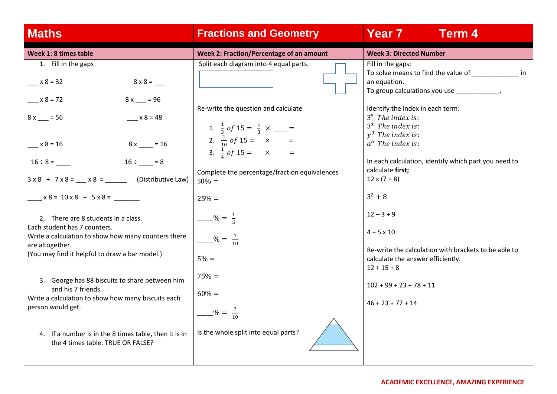| <b>Maths</b>                                                                                                                                                                                                                                                                                                                                                                      | <b>Fractions and Geometry</b>                                                                                                                                                                                                                                                                                                                       | <b>Year 7</b><br><b>Term 4</b>                                                                                                                                                                                                                                                                                                                                                                                                                                                     |  |  |
|-----------------------------------------------------------------------------------------------------------------------------------------------------------------------------------------------------------------------------------------------------------------------------------------------------------------------------------------------------------------------------------|-----------------------------------------------------------------------------------------------------------------------------------------------------------------------------------------------------------------------------------------------------------------------------------------------------------------------------------------------------|------------------------------------------------------------------------------------------------------------------------------------------------------------------------------------------------------------------------------------------------------------------------------------------------------------------------------------------------------------------------------------------------------------------------------------------------------------------------------------|--|--|
| Week 1: 8 times table                                                                                                                                                                                                                                                                                                                                                             | Week 2: Fraction/Percentage of an amount                                                                                                                                                                                                                                                                                                            | <b>Week 3: Directed Number</b>                                                                                                                                                                                                                                                                                                                                                                                                                                                     |  |  |
| 1. Fill in the gaps<br>$x 8 = 32$<br>$x 8 = 72$<br>$8x = 96$<br>$x 8 = 48$<br>$8x = 56$<br>$x 8 = 16$<br>$8x$ = 16<br>$16 \div \_ = 8$<br>$16 \div 8 =$<br>$x8 = 10x8 + 5x8 =$<br>2. There are 8 students in a class.<br>Each student has 7 counters.<br>Write a calculation to show how many counters there<br>are altogether.<br>(You may find it helpful to draw a bar model.) | Split each diagram into 4 equal parts.<br>Re-write the question and calculate<br>1. $\frac{1}{3}$ of 15 = $\frac{1}{3}$ x ___ =<br>2. $\frac{1}{10}$ of 15 = $\times$ =<br>3. $\frac{1}{4}$ of 15 = $\times$ =<br>Complete the percentage/fraction equivalences<br>$50\% =$<br>$25% =$<br>$\frac{9}{5}$<br>$\frac{9}{10} = \frac{1}{10}$<br>$5\% =$ | Fill in the gaps:<br>an equation.<br>To group calculations you use ____________.<br>Identify the index in each term:<br>$35$ The index is:<br>$3^x$ The index is:<br>$v^3$ The index is:<br>$a^b$ The index is:<br>In each calculation, identify which part you need to<br>calculate first;<br>$12 \times (7 + 8)$<br>$3^2 + 8$<br>$12 - 3 + 9$<br>$4 + 5 \times 10$<br>Re-write the calculation with brackets to be able to<br>calculate the answer efficiently.<br>$12 + 15 + 8$ |  |  |
| 3. George has 88 biscuits to share between him<br>and his 7 friends.<br>Write a calculation to show how many biscuits each<br>person would get.                                                                                                                                                                                                                                   | $75% =$<br>$60\% =$<br>$\frac{9}{10} = \frac{7}{10}$<br>Is the whole split into equal parts?                                                                                                                                                                                                                                                        | $102 + 99 + 23 + 78 + 11$<br>$46 + 23 + 77 + 14$                                                                                                                                                                                                                                                                                                                                                                                                                                   |  |  |
| 4. If a number is in the 8 times table, then it is in<br>the 4 times table. TRUE OR FALSE?                                                                                                                                                                                                                                                                                        |                                                                                                                                                                                                                                                                                                                                                     |                                                                                                                                                                                                                                                                                                                                                                                                                                                                                    |  |  |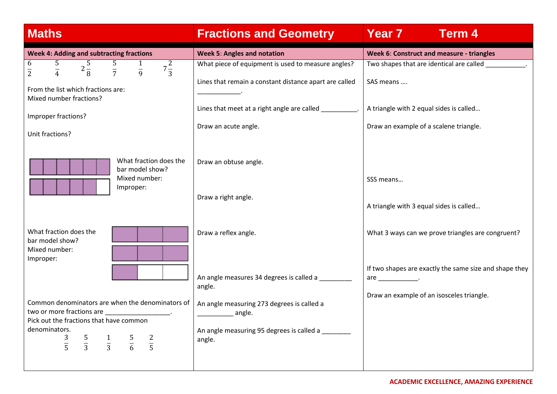|  |  | <b>Maths</b> |
|--|--|--------------|
|  |  |              |

## **Fractions and Geometry | Year 7 Term 4**

| <b>Week 4: Adding and subtracting fractions</b>                                                              | <b>Week 5: Angles and notation</b>                      | Week 6: Construct and measure - triangles              |
|--------------------------------------------------------------------------------------------------------------|---------------------------------------------------------|--------------------------------------------------------|
| $\overline{2\frac{5}{8}}$<br>$rac{5}{7}$ $rac{1}{9}$<br>6<br>$rac{5}{4}$<br>$7\frac{2}{3}$<br>$\overline{2}$ | What piece of equipment is used to measure angles?      | Two shapes that are identical are called               |
|                                                                                                              | Lines that remain a constant distance apart are called  | SAS means                                              |
| From the list which fractions are:<br>Mixed number fractions?                                                |                                                         |                                                        |
| Improper fractions?                                                                                          | Lines that meet at a right angle are called __________. | A triangle with 2 equal sides is called                |
| Unit fractions?                                                                                              | Draw an acute angle.                                    | Draw an example of a scalene triangle.                 |
|                                                                                                              |                                                         |                                                        |
| What fraction does the<br>bar model show?                                                                    | Draw an obtuse angle.                                   |                                                        |
| Mixed number:<br>Improper:                                                                                   |                                                         | SSS means                                              |
|                                                                                                              | Draw a right angle.                                     |                                                        |
|                                                                                                              |                                                         | A triangle with 3 equal sides is called                |
| What fraction does the                                                                                       | Draw a reflex angle.                                    | What 3 ways can we prove triangles are congruent?      |
| bar model show?<br>Mixed number:                                                                             |                                                         |                                                        |
| Improper:                                                                                                    |                                                         | If two shapes are exactly the same size and shape they |
|                                                                                                              | An angle measures 34 degrees is called a                | are $\_\_\_\_\_\_\_\_\$ .                              |
|                                                                                                              | angle.                                                  | Draw an example of an isosceles triangle.              |
| Common denominators are when the denominators of<br>two or more fractions are                                | An angle measuring 273 degrees is called a              |                                                        |
| Pick out the fractions that have common                                                                      | <u>__</u> ______________ angle.                         |                                                        |
| denominators.                                                                                                | An angle measuring 95 degrees is called a               |                                                        |
| $\frac{5}{3}$ $\frac{1}{3}$ $\frac{5}{6}$ $\frac{2}{5}$<br>$\frac{3}{5}$                                     | angle.                                                  |                                                        |
|                                                                                                              |                                                         |                                                        |
|                                                                                                              |                                                         |                                                        |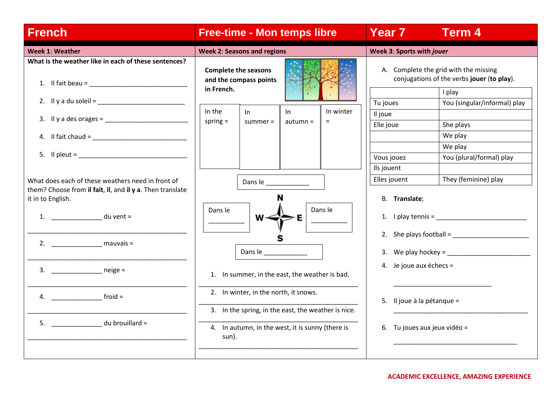| <b>French</b>                                                                                                    | <b>Free-time - Mon temps libre</b>                                                                               |                  |                  | Year 7<br><b>Term 4</b>                                                                       |                                                                                                                                                                                                                                                                                                     |  |
|------------------------------------------------------------------------------------------------------------------|------------------------------------------------------------------------------------------------------------------|------------------|------------------|-----------------------------------------------------------------------------------------------|-----------------------------------------------------------------------------------------------------------------------------------------------------------------------------------------------------------------------------------------------------------------------------------------------------|--|
| <b>Week 1: Weather</b>                                                                                           | <b>Week 2: Seasons and regions</b>                                                                               |                  |                  | Week 3: Sports with jouer                                                                     |                                                                                                                                                                                                                                                                                                     |  |
| What is the weather like in each of these sentences?<br>1. Il fait beau = $\frac{1}{2}$                          | <b>Complete the seasons</b><br>and the compass points<br>in French.                                              |                  |                  | A. Complete the grid with the missing<br>conjugations of the verbs jouer (to play).<br>I play |                                                                                                                                                                                                                                                                                                     |  |
|                                                                                                                  |                                                                                                                  |                  |                  | Tu joues                                                                                      | You (singular/informal) play                                                                                                                                                                                                                                                                        |  |
| 3. Il y a des orages = $\frac{1}{2}$                                                                             | In the<br>ln -<br>spring $=$<br>summer $=$                                                                       | In<br>$autumn =$ | In winter<br>$=$ | Il joue                                                                                       |                                                                                                                                                                                                                                                                                                     |  |
|                                                                                                                  |                                                                                                                  |                  |                  | Elle joue                                                                                     | She plays<br>We play                                                                                                                                                                                                                                                                                |  |
|                                                                                                                  |                                                                                                                  |                  |                  |                                                                                               | We play                                                                                                                                                                                                                                                                                             |  |
| $5.$ Il pleut = $\blacksquare$                                                                                   |                                                                                                                  |                  |                  | Vous jouez                                                                                    | You (plural/formal) play                                                                                                                                                                                                                                                                            |  |
|                                                                                                                  |                                                                                                                  |                  |                  | Ils jouent                                                                                    |                                                                                                                                                                                                                                                                                                     |  |
| What does each of these weathers need in front of                                                                | Dans le ____________                                                                                             |                  |                  | Elles jouent                                                                                  | They (feminine) play                                                                                                                                                                                                                                                                                |  |
| them? Choose from il fait, il, and il y a. Then translate<br>it in to English.<br>1. du vent =<br>$3.$ $neige =$ | Dans le<br>Dans le<br>1. In summer, in the east, the weather is bad.<br>2. In winter, in the north, it snows.    | Dans le          |                  | B. Translate;<br>4. Je joue aux échecs =                                                      | 1. $\blacksquare$ $\blacksquare$ $\blacksquare$ $\blacksquare$ $\blacksquare$ $\blacksquare$ $\blacksquare$ $\blacksquare$ $\blacksquare$ $\blacksquare$ $\blacksquare$ $\blacksquare$ $\blacksquare$ $\blacksquare$<br>2. She plays football = $\sqrt{2\pi}$<br>3. We play hockey = $\blacksquare$ |  |
| 5. _______________ du brouillard =                                                                               | 3. In the spring, in the east, the weather is nice.<br>4. In autumn, in the west, it is sunny (there is<br>sun). |                  |                  | 5. Il joue à la pétanque =<br>6. Tu joues aux jeux vidéo =                                    |                                                                                                                                                                                                                                                                                                     |  |